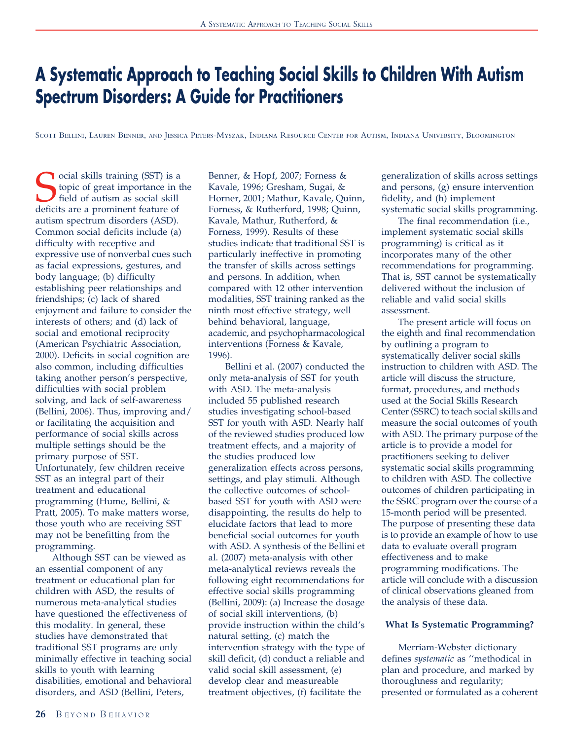# A Systematic Approach to Teaching Social Skills to Children With Autism Spectrum Disorders: A Guide for Practitioners

Scott Bellini, Lauren Benner, AND Jessica Peters-Myszak, Indiana Resource Center for Autism, Indiana University, Bloomington

Cocial skills training (SST) is a topic of great importance in the field of autism as social skill deficits are a prominent feature of topic of great importance in the field of autism as social skill autism spectrum disorders (ASD). Common social deficits include (a) difficulty with receptive and expressive use of nonverbal cues such as facial expressions, gestures, and body language; (b) difficulty establishing peer relationships and friendships; (c) lack of shared enjoyment and failure to consider the interests of others; and (d) lack of social and emotional reciprocity (American Psychiatric Association, 2000). Deficits in social cognition are also common, including difficulties taking another person's perspective, difficulties with social problem solving, and lack of self-awareness (Bellini, 2006). Thus, improving and/ or facilitating the acquisition and performance of social skills across multiple settings should be the primary purpose of SST. Unfortunately, few children receive SST as an integral part of their treatment and educational programming (Hume, Bellini, & Pratt, 2005). To make matters worse, those youth who are receiving SST may not be benefitting from the programming.

Although SST can be viewed as an essential component of any treatment or educational plan for children with ASD, the results of numerous meta-analytical studies have questioned the effectiveness of this modality. In general, these studies have demonstrated that traditional SST programs are only minimally effective in teaching social skills to youth with learning disabilities, emotional and behavioral disorders, and ASD (Bellini, Peters,

Benner, & Hopf, 2007; Forness & Kavale, 1996; Gresham, Sugai, & Horner, 2001; Mathur, Kavale, Quinn, Forness, & Rutherford, 1998; Quinn, Kavale, Mathur, Rutherford, & Forness, 1999). Results of these studies indicate that traditional SST is particularly ineffective in promoting the transfer of skills across settings and persons. In addition, when compared with 12 other intervention modalities, SST training ranked as the ninth most effective strategy, well behind behavioral, language, academic, and psychopharmacological interventions (Forness & Kavale, 1996).

Bellini et al. (2007) conducted the only meta-analysis of SST for youth with ASD. The meta-analysis included 55 published research studies investigating school-based SST for youth with ASD. Nearly half of the reviewed studies produced low treatment effects, and a majority of the studies produced low generalization effects across persons, settings, and play stimuli. Although the collective outcomes of schoolbased SST for youth with ASD were disappointing, the results do help to elucidate factors that lead to more beneficial social outcomes for youth with ASD. A synthesis of the Bellini et al. (2007) meta-analysis with other meta-analytical reviews reveals the following eight recommendations for effective social skills programming (Bellini, 2009): (a) Increase the dosage of social skill interventions, (b) provide instruction within the child's natural setting, (c) match the intervention strategy with the type of skill deficit, (d) conduct a reliable and valid social skill assessment, (e) develop clear and measureable treatment objectives, (f) facilitate the

generalization of skills across settings and persons, (g) ensure intervention fidelity, and (h) implement systematic social skills programming.

The final recommendation (i.e., implement systematic social skills programming) is critical as it incorporates many of the other recommendations for programming. That is, SST cannot be systematically delivered without the inclusion of reliable and valid social skills assessment.

The present article will focus on the eighth and final recommendation by outlining a program to systematically deliver social skills instruction to children with ASD. The article will discuss the structure, format, procedures, and methods used at the Social Skills Research Center (SSRC) to teach social skills and measure the social outcomes of youth with ASD. The primary purpose of the article is to provide a model for practitioners seeking to deliver systematic social skills programming to children with ASD. The collective outcomes of children participating in the SSRC program over the course of a 15-month period will be presented. The purpose of presenting these data is to provide an example of how to use data to evaluate overall program effectiveness and to make programming modifications. The article will conclude with a discussion of clinical observations gleaned from the analysis of these data.

## What Is Systematic Programming?

Merriam-Webster dictionary defines systematic as ''methodical in plan and procedure, and marked by thoroughness and regularity; presented or formulated as a coherent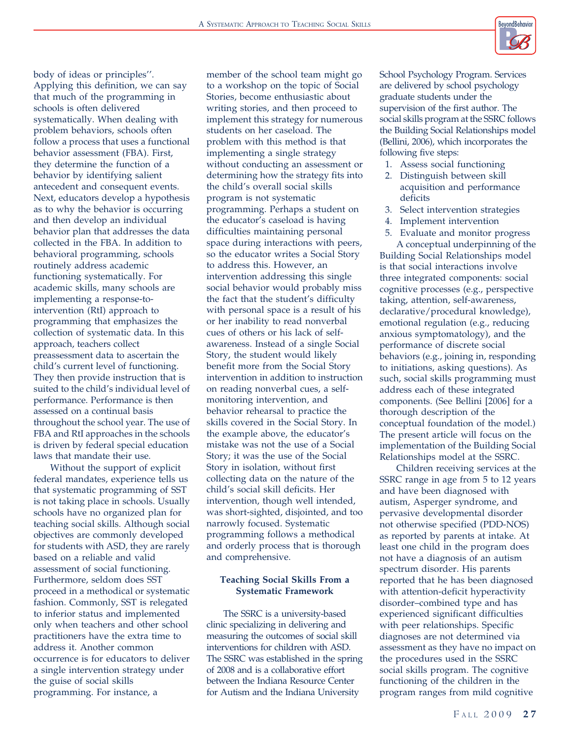

body of ideas or principles''. Applying this definition, we can say that much of the programming in schools is often delivered systematically. When dealing with problem behaviors, schools often follow a process that uses a functional behavior assessment (FBA). First, they determine the function of a behavior by identifying salient antecedent and consequent events. Next, educators develop a hypothesis as to why the behavior is occurring and then develop an individual behavior plan that addresses the data collected in the FBA. In addition to behavioral programming, schools routinely address academic functioning systematically. For academic skills, many schools are implementing a response-tointervention (RtI) approach to programming that emphasizes the collection of systematic data. In this approach, teachers collect preassessment data to ascertain the child's current level of functioning. They then provide instruction that is suited to the child's individual level of performance. Performance is then assessed on a continual basis throughout the school year. The use of FBA and RtI approaches in the schools is driven by federal special education laws that mandate their use.

Without the support of explicit federal mandates, experience tells us that systematic programming of SST is not taking place in schools. Usually schools have no organized plan for teaching social skills. Although social objectives are commonly developed for students with ASD, they are rarely based on a reliable and valid assessment of social functioning. Furthermore, seldom does SST proceed in a methodical or systematic fashion. Commonly, SST is relegated to inferior status and implemented only when teachers and other school practitioners have the extra time to address it. Another common occurrence is for educators to deliver a single intervention strategy under the guise of social skills programming. For instance, a

member of the school team might go to a workshop on the topic of Social Stories, become enthusiastic about writing stories, and then proceed to implement this strategy for numerous students on her caseload. The problem with this method is that implementing a single strategy without conducting an assessment or determining how the strategy fits into the child's overall social skills program is not systematic programming. Perhaps a student on the educator's caseload is having difficulties maintaining personal space during interactions with peers, so the educator writes a Social Story to address this. However, an intervention addressing this single social behavior would probably miss the fact that the student's difficulty with personal space is a result of his or her inability to read nonverbal cues of others or his lack of selfawareness. Instead of a single Social Story, the student would likely benefit more from the Social Story intervention in addition to instruction on reading nonverbal cues, a selfmonitoring intervention, and behavior rehearsal to practice the skills covered in the Social Story. In the example above, the educator's mistake was not the use of a Social Story; it was the use of the Social Story in isolation, without first collecting data on the nature of the child's social skill deficits. Her intervention, though well intended, was short-sighted, disjointed, and too narrowly focused. Systematic programming follows a methodical and orderly process that is thorough and comprehensive.

# Teaching Social Skills From a Systematic Framework

The SSRC is a university-based clinic specializing in delivering and measuring the outcomes of social skill interventions for children with ASD. The SSRC was established in the spring of 2008 and is a collaborative effort between the Indiana Resource Center for Autism and the Indiana University

School Psychology Program. Services are delivered by school psychology graduate students under the supervision of the first author. The social skills program at the SSRC follows the Building Social Relationships model (Bellini, 2006), which incorporates the following five steps:

- 1. Assess social functioning
- 2. Distinguish between skill acquisition and performance deficits
- 3. Select intervention strategies
- 4. Implement intervention
- 5. Evaluate and monitor progress A conceptual underpinning of the

Building Social Relationships model is that social interactions involve three integrated components: social cognitive processes (e.g., perspective taking, attention, self-awareness, declarative/procedural knowledge), emotional regulation (e.g., reducing anxious symptomatology), and the performance of discrete social behaviors (e.g., joining in, responding to initiations, asking questions). As such, social skills programming must address each of these integrated components. (See Bellini [2006] for a thorough description of the conceptual foundation of the model.) The present article will focus on the implementation of the Building Social Relationships model at the SSRC.

Children receiving services at the SSRC range in age from 5 to 12 years and have been diagnosed with autism, Asperger syndrome, and pervasive developmental disorder not otherwise specified (PDD-NOS) as reported by parents at intake. At least one child in the program does not have a diagnosis of an autism spectrum disorder. His parents reported that he has been diagnosed with attention-deficit hyperactivity disorder–combined type and has experienced significant difficulties with peer relationships. Specific diagnoses are not determined via assessment as they have no impact on the procedures used in the SSRC social skills program. The cognitive functioning of the children in the program ranges from mild cognitive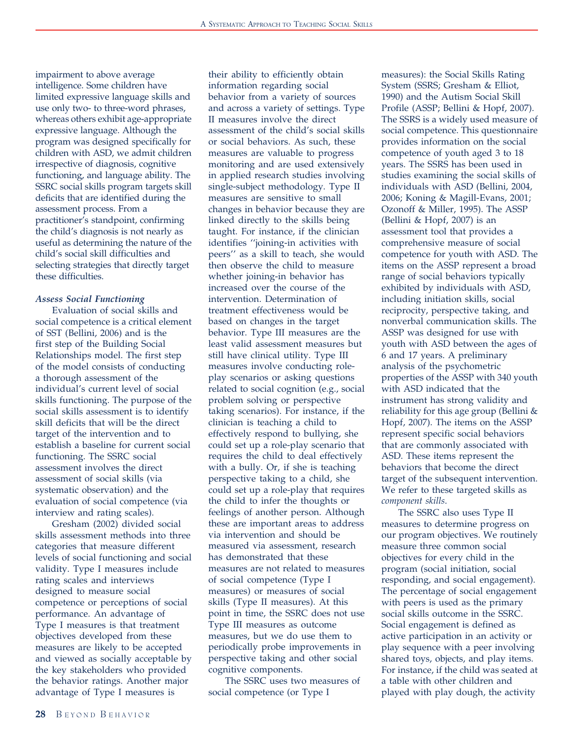impairment to above average intelligence. Some children have limited expressive language skills and use only two- to three-word phrases, whereas others exhibit age-appropriate expressive language. Although the program was designed specifically for children with ASD, we admit children irrespective of diagnosis, cognitive functioning, and language ability. The SSRC social skills program targets skill deficits that are identified during the assessment process. From a practitioner's standpoint, confirming the child's diagnosis is not nearly as useful as determining the nature of the child's social skill difficulties and selecting strategies that directly target these difficulties.

#### Assess Social Functioning

Evaluation of social skills and social competence is a critical element of SST (Bellini, 2006) and is the first step of the Building Social Relationships model. The first step of the model consists of conducting a thorough assessment of the individual's current level of social skills functioning. The purpose of the social skills assessment is to identify skill deficits that will be the direct target of the intervention and to establish a baseline for current social functioning. The SSRC social assessment involves the direct assessment of social skills (via systematic observation) and the evaluation of social competence (via interview and rating scales).

Gresham (2002) divided social skills assessment methods into three categories that measure different levels of social functioning and social validity. Type I measures include rating scales and interviews designed to measure social competence or perceptions of social performance. An advantage of Type I measures is that treatment objectives developed from these measures are likely to be accepted and viewed as socially acceptable by the key stakeholders who provided the behavior ratings. Another major advantage of Type I measures is

their ability to efficiently obtain information regarding social behavior from a variety of sources and across a variety of settings. Type II measures involve the direct assessment of the child's social skills or social behaviors. As such, these measures are valuable to progress monitoring and are used extensively in applied research studies involving single-subject methodology. Type II measures are sensitive to small changes in behavior because they are linked directly to the skills being taught. For instance, if the clinician identifies ''joining-in activities with peers'' as a skill to teach, she would then observe the child to measure whether joining-in behavior has increased over the course of the intervention. Determination of treatment effectiveness would be based on changes in the target behavior. Type III measures are the least valid assessment measures but still have clinical utility. Type III measures involve conducting roleplay scenarios or asking questions related to social cognition (e.g., social problem solving or perspective taking scenarios). For instance, if the clinician is teaching a child to effectively respond to bullying, she could set up a role-play scenario that requires the child to deal effectively with a bully. Or, if she is teaching perspective taking to a child, she could set up a role-play that requires the child to infer the thoughts or feelings of another person. Although these are important areas to address via intervention and should be measured via assessment, research has demonstrated that these measures are not related to measures of social competence (Type I measures) or measures of social skills (Type II measures). At this point in time, the SSRC does not use Type III measures as outcome measures, but we do use them to periodically probe improvements in perspective taking and other social cognitive components.

The SSRC uses two measures of social competence (or Type I

measures): the Social Skills Rating System (SSRS; Gresham & Elliot, 1990) and the Autism Social Skill Profile (ASSP; Bellini & Hopf, 2007). The SSRS is a widely used measure of social competence. This questionnaire provides information on the social competence of youth aged 3 to 18 years. The SSRS has been used in studies examining the social skills of individuals with ASD (Bellini, 2004, 2006; Koning & Magill-Evans, 2001; Ozonoff & Miller, 1995). The ASSP (Bellini & Hopf, 2007) is an assessment tool that provides a comprehensive measure of social competence for youth with ASD. The items on the ASSP represent a broad range of social behaviors typically exhibited by individuals with ASD, including initiation skills, social reciprocity, perspective taking, and nonverbal communication skills. The ASSP was designed for use with youth with ASD between the ages of 6 and 17 years. A preliminary analysis of the psychometric properties of the ASSP with 340 youth with ASD indicated that the instrument has strong validity and reliability for this age group (Bellini & Hopf, 2007). The items on the ASSP represent specific social behaviors that are commonly associated with ASD. These items represent the behaviors that become the direct target of the subsequent intervention. We refer to these targeted skills as component skills.

The SSRC also uses Type II measures to determine progress on our program objectives. We routinely measure three common social objectives for every child in the program (social initiation, social responding, and social engagement). The percentage of social engagement with peers is used as the primary social skills outcome in the SSRC. Social engagement is defined as active participation in an activity or play sequence with a peer involving shared toys, objects, and play items. For instance, if the child was seated at a table with other children and played with play dough, the activity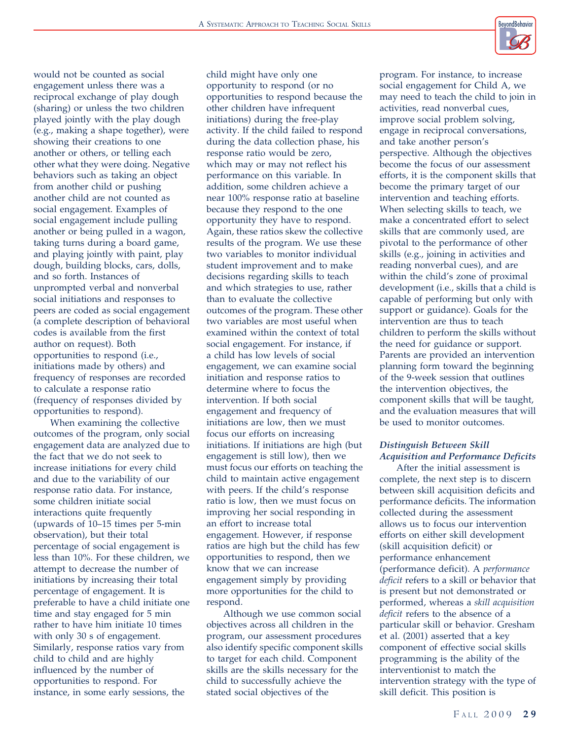

would not be counted as social engagement unless there was a reciprocal exchange of play dough (sharing) or unless the two children played jointly with the play dough (e.g., making a shape together), were showing their creations to one another or others, or telling each other what they were doing. Negative behaviors such as taking an object from another child or pushing another child are not counted as social engagement. Examples of social engagement include pulling another or being pulled in a wagon, taking turns during a board game, and playing jointly with paint, play dough, building blocks, cars, dolls, and so forth. Instances of unprompted verbal and nonverbal social initiations and responses to peers are coded as social engagement (a complete description of behavioral codes is available from the first author on request). Both opportunities to respond (i.e., initiations made by others) and frequency of responses are recorded to calculate a response ratio (frequency of responses divided by opportunities to respond).

When examining the collective outcomes of the program, only social engagement data are analyzed due to the fact that we do not seek to increase initiations for every child and due to the variability of our response ratio data. For instance, some children initiate social interactions quite frequently (upwards of 10–15 times per 5-min observation), but their total percentage of social engagement is less than 10%. For these children, we attempt to decrease the number of initiations by increasing their total percentage of engagement. It is preferable to have a child initiate one time and stay engaged for 5 min rather to have him initiate 10 times with only 30 s of engagement. Similarly, response ratios vary from child to child and are highly influenced by the number of opportunities to respond. For instance, in some early sessions, the

child might have only one opportunity to respond (or no opportunities to respond because the other children have infrequent initiations) during the free-play activity. If the child failed to respond during the data collection phase, his response ratio would be zero, which may or may not reflect his performance on this variable. In addition, some children achieve a near 100% response ratio at baseline because they respond to the one opportunity they have to respond. Again, these ratios skew the collective results of the program. We use these two variables to monitor individual student improvement and to make decisions regarding skills to teach and which strategies to use, rather than to evaluate the collective outcomes of the program. These other two variables are most useful when examined within the context of total social engagement. For instance, if a child has low levels of social engagement, we can examine social initiation and response ratios to determine where to focus the intervention. If both social engagement and frequency of initiations are low, then we must focus our efforts on increasing initiations. If initiations are high (but engagement is still low), then we must focus our efforts on teaching the child to maintain active engagement with peers. If the child's response ratio is low, then we must focus on improving her social responding in an effort to increase total engagement. However, if response ratios are high but the child has few opportunities to respond, then we know that we can increase engagement simply by providing more opportunities for the child to respond.

Although we use common social objectives across all children in the program, our assessment procedures also identify specific component skills to target for each child. Component skills are the skills necessary for the child to successfully achieve the stated social objectives of the

program. For instance, to increase social engagement for Child A, we may need to teach the child to join in activities, read nonverbal cues, improve social problem solving, engage in reciprocal conversations, and take another person's perspective. Although the objectives become the focus of our assessment efforts, it is the component skills that become the primary target of our intervention and teaching efforts. When selecting skills to teach, we make a concentrated effort to select skills that are commonly used, are pivotal to the performance of other skills (e.g., joining in activities and reading nonverbal cues), and are within the child's zone of proximal development (i.e., skills that a child is capable of performing but only with support or guidance). Goals for the intervention are thus to teach children to perform the skills without the need for guidance or support. Parents are provided an intervention planning form toward the beginning of the 9-week session that outlines the intervention objectives, the component skills that will be taught, and the evaluation measures that will be used to monitor outcomes.

# Distinguish Between Skill Acquisition and Performance Deficits

After the initial assessment is complete, the next step is to discern between skill acquisition deficits and performance deficits. The information collected during the assessment allows us to focus our intervention efforts on either skill development (skill acquisition deficit) or performance enhancement (performance deficit). A performance deficit refers to a skill or behavior that is present but not demonstrated or performed, whereas a skill acquisition deficit refers to the absence of a particular skill or behavior. Gresham et al. (2001) asserted that a key component of effective social skills programming is the ability of the interventionist to match the intervention strategy with the type of skill deficit. This position is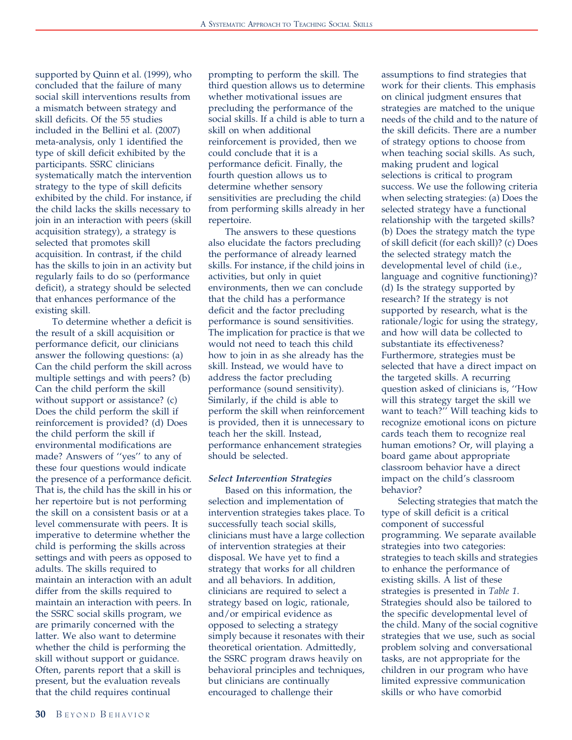supported by Quinn et al. (1999), who concluded that the failure of many social skill interventions results from a mismatch between strategy and skill deficits. Of the 55 studies included in the Bellini et al. (2007) meta-analysis, only 1 identified the type of skill deficit exhibited by the participants. SSRC clinicians systematically match the intervention strategy to the type of skill deficits exhibited by the child. For instance, if the child lacks the skills necessary to join in an interaction with peers (skill acquisition strategy), a strategy is selected that promotes skill acquisition. In contrast, if the child has the skills to join in an activity but regularly fails to do so (performance deficit), a strategy should be selected that enhances performance of the existing skill.

To determine whether a deficit is the result of a skill acquisition or performance deficit, our clinicians answer the following questions: (a) Can the child perform the skill across multiple settings and with peers? (b) Can the child perform the skill without support or assistance? (c) Does the child perform the skill if reinforcement is provided? (d) Does the child perform the skill if environmental modifications are made? Answers of ''yes'' to any of these four questions would indicate the presence of a performance deficit. That is, the child has the skill in his or her repertoire but is not performing the skill on a consistent basis or at a level commensurate with peers. It is imperative to determine whether the child is performing the skills across settings and with peers as opposed to adults. The skills required to maintain an interaction with an adult differ from the skills required to maintain an interaction with peers. In the SSRC social skills program, we are primarily concerned with the latter. We also want to determine whether the child is performing the skill without support or guidance. Often, parents report that a skill is present, but the evaluation reveals that the child requires continual

prompting to perform the skill. The third question allows us to determine whether motivational issues are precluding the performance of the social skills. If a child is able to turn a skill on when additional reinforcement is provided, then we could conclude that it is a performance deficit. Finally, the fourth question allows us to determine whether sensory sensitivities are precluding the child from performing skills already in her repertoire.

The answers to these questions also elucidate the factors precluding the performance of already learned skills. For instance, if the child joins in activities, but only in quiet environments, then we can conclude that the child has a performance deficit and the factor precluding performance is sound sensitivities. The implication for practice is that we would not need to teach this child how to join in as she already has the skill. Instead, we would have to address the factor precluding performance (sound sensitivity). Similarly, if the child is able to perform the skill when reinforcement is provided, then it is unnecessary to teach her the skill. Instead, performance enhancement strategies should be selected.

#### Select Intervention Strategies

Based on this information, the selection and implementation of intervention strategies takes place. To successfully teach social skills, clinicians must have a large collection of intervention strategies at their disposal. We have yet to find a strategy that works for all children and all behaviors. In addition, clinicians are required to select a strategy based on logic, rationale, and/or empirical evidence as opposed to selecting a strategy simply because it resonates with their theoretical orientation. Admittedly, the SSRC program draws heavily on behavioral principles and techniques, but clinicians are continually encouraged to challenge their

assumptions to find strategies that work for their clients. This emphasis on clinical judgment ensures that strategies are matched to the unique needs of the child and to the nature of the skill deficits. There are a number of strategy options to choose from when teaching social skills. As such, making prudent and logical selections is critical to program success. We use the following criteria when selecting strategies: (a) Does the selected strategy have a functional relationship with the targeted skills? (b) Does the strategy match the type of skill deficit (for each skill)? (c) Does the selected strategy match the developmental level of child (i.e., language and cognitive functioning)? (d) Is the strategy supported by research? If the strategy is not supported by research, what is the rationale/logic for using the strategy, and how will data be collected to substantiate its effectiveness? Furthermore, strategies must be selected that have a direct impact on the targeted skills. A recurring question asked of clinicians is, ''How will this strategy target the skill we want to teach?'' Will teaching kids to recognize emotional icons on picture cards teach them to recognize real human emotions? Or, will playing a board game about appropriate classroom behavior have a direct impact on the child's classroom behavior?

Selecting strategies that match the type of skill deficit is a critical component of successful programming. We separate available strategies into two categories: strategies to teach skills and strategies to enhance the performance of existing skills. A list of these strategies is presented in Table 1. Strategies should also be tailored to the specific developmental level of the child. Many of the social cognitive strategies that we use, such as social problem solving and conversational tasks, are not appropriate for the children in our program who have limited expressive communication skills or who have comorbid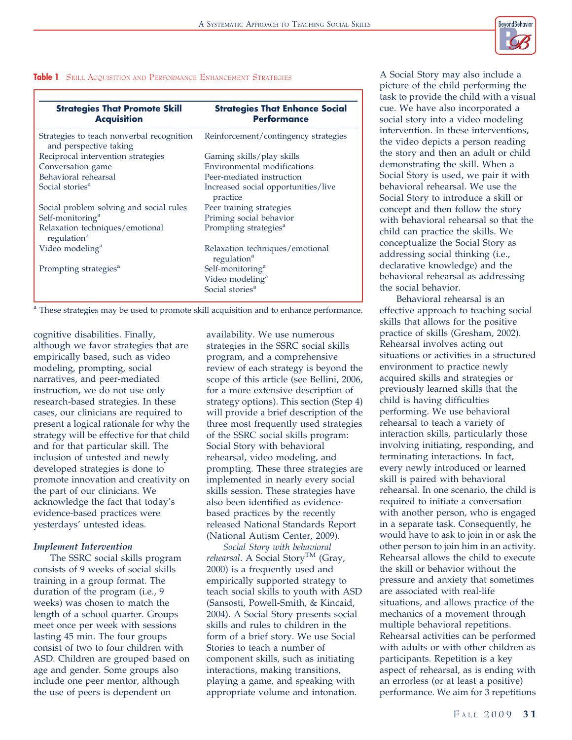

# **Table 1** SKILL ACQUISITION AND PERFORMANCE ENHANCEMENT STRATEGIES

| <b>Strategies That Promote Skill</b>                                | <b>Strategies That Enhance Social</b>                                                      |
|---------------------------------------------------------------------|--------------------------------------------------------------------------------------------|
| <b>Acquisition</b>                                                  | Performance                                                                                |
| Strategies to teach nonverbal recognition<br>and perspective taking | Reinforcement/contingency strategies                                                       |
| Reciprocal intervention strategies                                  | Gaming skills/play skills                                                                  |
| Conversation game                                                   | Environmental modifications                                                                |
| Behavioral rehearsal                                                | Peer-mediated instruction                                                                  |
| Social stories <sup>a</sup>                                         | Increased social opportunities/live<br>practice                                            |
| Social problem solving and social rules                             | Peer training strategies                                                                   |
| Self-monitoring <sup>a</sup>                                        | Priming social behavior                                                                    |
| Relaxation techniques/emotional<br>regulation <sup>a</sup>          | Prompting strategies <sup>a</sup>                                                          |
| Video modeling <sup>a</sup>                                         | Relaxation techniques/emotional<br>regulation <sup>a</sup>                                 |
| Prompting strategies <sup>a</sup>                                   | Self-monitoring <sup>a</sup><br>Video modeling <sup>a</sup><br>Social stories <sup>a</sup> |

<sup>a</sup> These strategies may be used to promote skill acquisition and to enhance performance.

cognitive disabilities. Finally, although we favor strategies that are empirically based, such as video modeling, prompting, social narratives, and peer-mediated instruction, we do not use only research-based strategies. In these cases, our clinicians are required to present a logical rationale for why the strategy will be effective for that child and for that particular skill. The inclusion of untested and newly developed strategies is done to promote innovation and creativity on the part of our clinicians. We acknowledge the fact that today's evidence-based practices were yesterdays' untested ideas.

## Implement Intervention

The SSRC social skills program consists of 9 weeks of social skills training in a group format. The duration of the program (i.e., 9 weeks) was chosen to match the length of a school quarter. Groups meet once per week with sessions lasting 45 min. The four groups consist of two to four children with ASD. Children are grouped based on age and gender. Some groups also include one peer mentor, although the use of peers is dependent on

availability. We use numerous strategies in the SSRC social skills program, and a comprehensive review of each strategy is beyond the scope of this article (see Bellini, 2006, for a more extensive description of strategy options). This section (Step 4) will provide a brief description of the three most frequently used strategies of the SSRC social skills program: Social Story with behavioral rehearsal, video modeling, and prompting. These three strategies are implemented in nearly every social skills session. These strategies have also been identified as evidencebased practices by the recently released National Standards Report (National Autism Center, 2009).

Social Story with behavioral rehearsal. A Social Story<sup>TM</sup> (Gray, 2000) is a frequently used and empirically supported strategy to teach social skills to youth with ASD (Sansosti, Powell-Smith, & Kincaid, 2004). A Social Story presents social skills and rules to children in the form of a brief story. We use Social Stories to teach a number of component skills, such as initiating interactions, making transitions, playing a game, and speaking with appropriate volume and intonation.

A Social Story may also include a picture of the child performing the task to provide the child with a visual cue. We have also incorporated a social story into a video modeling intervention. In these interventions, the video depicts a person reading the story and then an adult or child demonstrating the skill. When a Social Story is used, we pair it with behavioral rehearsal. We use the Social Story to introduce a skill or concept and then follow the story with behavioral rehearsal so that the child can practice the skills. We conceptualize the Social Story as addressing social thinking (i.e., declarative knowledge) and the behavioral rehearsal as addressing the social behavior.

Behavioral rehearsal is an effective approach to teaching social skills that allows for the positive practice of skills (Gresham, 2002). Rehearsal involves acting out situations or activities in a structured environment to practice newly acquired skills and strategies or previously learned skills that the child is having difficulties performing. We use behavioral rehearsal to teach a variety of interaction skills, particularly those involving initiating, responding, and terminating interactions. In fact, every newly introduced or learned skill is paired with behavioral rehearsal. In one scenario, the child is required to initiate a conversation with another person, who is engaged in a separate task. Consequently, he would have to ask to join in or ask the other person to join him in an activity. Rehearsal allows the child to execute the skill or behavior without the pressure and anxiety that sometimes are associated with real-life situations, and allows practice of the mechanics of a movement through multiple behavioral repetitions. Rehearsal activities can be performed with adults or with other children as participants. Repetition is a key aspect of rehearsal, as is ending with an errorless (or at least a positive) performance. We aim for 3 repetitions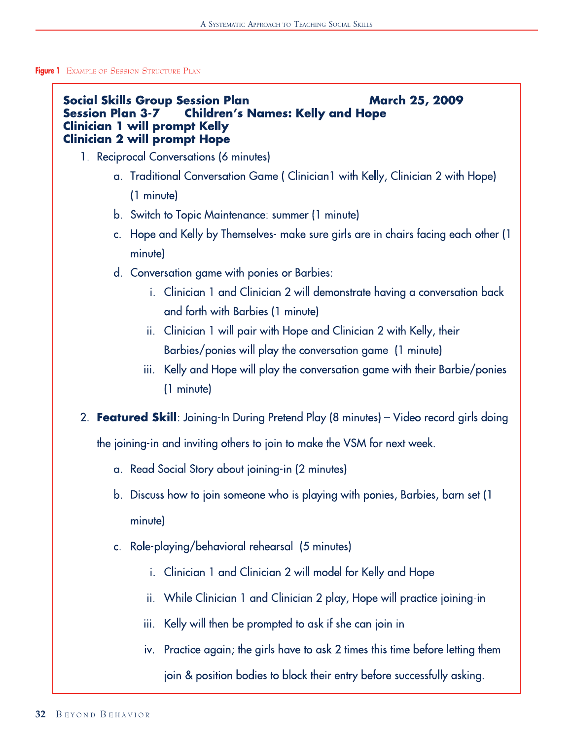# Figure 1 EXAMPLE OF SESSION STRUCTURE PLAN

#### **Social Skills Group Session Plan March 25, 2009 Session Plan 3-7 Children's Names: Kelly and Hope Clinician 1 will prompt Kelly Clinician 2 will prompt Hope**

- 1. Reciprocal Conversations (6 minutes)
	- a. Traditional Conversation Game (Clinician 1 with Kelly, Clinician 2 with Hope)  $(1$  minute)
	- b. Switch to Topic Maintenance: summer (1 minute)
	- c. Hope and Kelly by Themselves- make sure girls are in chairs facing each other (1) minute)
	- d. Conversation game with ponies or Barbies:
		- i. Clinician 1 and Clinician 2 will demonstrate having a conversation back and forth with Barbies (1 minute)
		- ii. Clinician 1 will pair with Hope and Clinician 2 with Kelly, their Barbies/ponies will play the conversation game (1 minute)
		- iii. Kelly and Hope will play the conversation game with their Barbie/ponies (1 minute)
- 2. Featured Skill: Joining-In During Pretend Play (8 minutes) Video record girls doing

the joining-in and inviting others to join to make the VSM for next week.

- a. Read Social Story about joining-in (2 minutes)
- b. Discuss how to join someone who is playing with ponies, Barbies, barn set (1) minutel
- c. Role-playing/behavioral rehearsal (5 minutes)
	- i. Clinician 1 and Clinician 2 will model for Kelly and Hope
	- ii. While Clinician 1 and Clinician 2 play, Hope will practice joining-in
	- iii. Kelly will then be prompted to ask if she can join in
	- iv. Practice again; the girls have to ask 2 times this time before letting them join & position bodies to block their entry before successfully asking.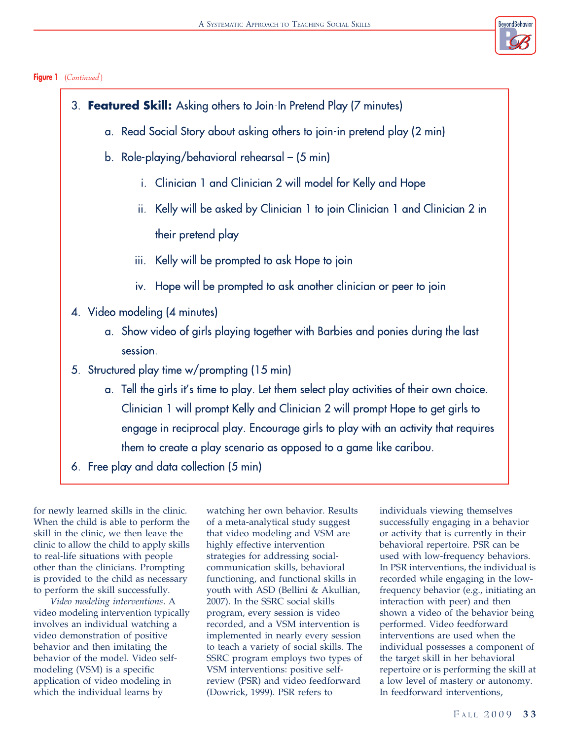

# Figure 1 (Continued)

| 3. Featured Skill: Asking others to Join-In Pretend Play (7 minutes)                      |
|-------------------------------------------------------------------------------------------|
| a. Read Social Story about asking others to join-in pretend play (2 min)                  |
| b. Role-playing/behavioral rehearsal – (5 min)                                            |
| Clinician 1 and Clinician 2 will model for Kelly and Hope<br>i.                           |
| Kelly will be asked by Clinician 1 to join Clinician 1 and Clinician 2 in<br>ii.          |
| their pretend play                                                                        |
| Kelly will be prompted to ask Hope to join<br>iii.                                        |
| iv. Hope will be prompted to ask another clinician or peer to join                        |
| 4. Video modeling (4 minutes)                                                             |
| a. Show video of girls playing together with Barbies and ponies during the last           |
| session.                                                                                  |
| 5. Structured play time w/prompting (15 min)                                              |
| a. Tell the girls it's time to play. Let them select play activities of their own choice. |
| Clinician 1 will prompt Kelly and Clinician 2 will prompt Hope to get girls to            |
| engage in reciprocal play. Encourage girls to play with an activity that requires         |
| them to create a play scenario as opposed to a game like caribou.                         |
| 6. Free play and data collection (5 min)                                                  |

for newly learned skills in the clinic. When the child is able to perform the skill in the clinic, we then leave the clinic to allow the child to apply skills to real-life situations with people other than the clinicians. Prompting is provided to the child as necessary to perform the skill successfully.

Video modeling interventions. A video modeling intervention typically involves an individual watching a video demonstration of positive behavior and then imitating the behavior of the model. Video selfmodeling (VSM) is a specific application of video modeling in which the individual learns by

watching her own behavior. Results of a meta-analytical study suggest that video modeling and VSM are highly effective intervention strategies for addressing socialcommunication skills, behavioral functioning, and functional skills in youth with ASD (Bellini & Akullian, 2007). In the SSRC social skills program, every session is video recorded, and a VSM intervention is implemented in nearly every session to teach a variety of social skills. The SSRC program employs two types of VSM interventions: positive selfreview (PSR) and video feedforward (Dowrick, 1999). PSR refers to

individuals viewing themselves successfully engaging in a behavior or activity that is currently in their behavioral repertoire. PSR can be used with low-frequency behaviors. In PSR interventions, the individual is recorded while engaging in the lowfrequency behavior (e.g., initiating an interaction with peer) and then shown a video of the behavior being performed. Video feedforward interventions are used when the individual possesses a component of the target skill in her behavioral repertoire or is performing the skill at a low level of mastery or autonomy. In feedforward interventions,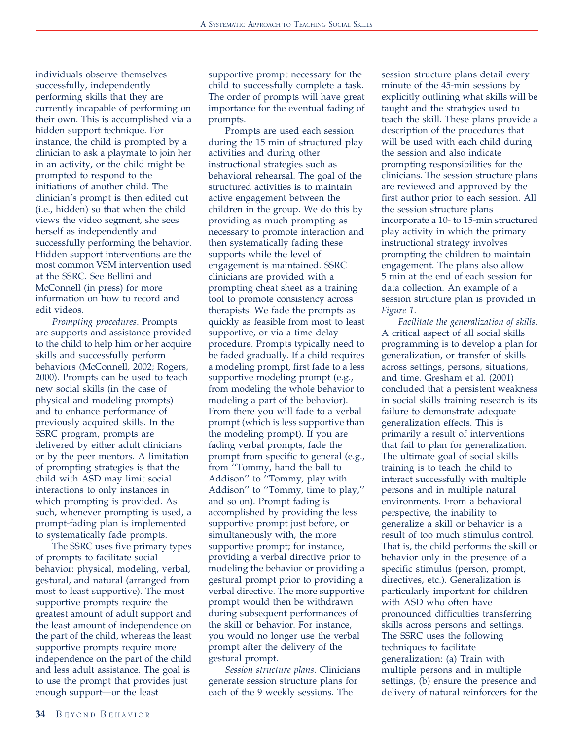individuals observe themselves successfully, independently performing skills that they are currently incapable of performing on their own. This is accomplished via a hidden support technique. For instance, the child is prompted by a clinician to ask a playmate to join her in an activity, or the child might be prompted to respond to the initiations of another child. The clinician's prompt is then edited out (i.e., hidden) so that when the child views the video segment, she sees herself as independently and successfully performing the behavior. Hidden support interventions are the most common VSM intervention used at the SSRC. See Bellini and McConnell (in press) for more information on how to record and edit videos.

Prompting procedures. Prompts are supports and assistance provided to the child to help him or her acquire skills and successfully perform behaviors (McConnell, 2002; Rogers, 2000). Prompts can be used to teach new social skills (in the case of physical and modeling prompts) and to enhance performance of previously acquired skills. In the SSRC program, prompts are delivered by either adult clinicians or by the peer mentors. A limitation of prompting strategies is that the child with ASD may limit social interactions to only instances in which prompting is provided. As such, whenever prompting is used, a prompt-fading plan is implemented to systematically fade prompts.

The SSRC uses five primary types of prompts to facilitate social behavior: physical, modeling, verbal, gestural, and natural (arranged from most to least supportive). The most supportive prompts require the greatest amount of adult support and the least amount of independence on the part of the child, whereas the least supportive prompts require more independence on the part of the child and less adult assistance. The goal is to use the prompt that provides just enough support—or the least

supportive prompt necessary for the child to successfully complete a task. The order of prompts will have great importance for the eventual fading of prompts.

Prompts are used each session during the 15 min of structured play activities and during other instructional strategies such as behavioral rehearsal. The goal of the structured activities is to maintain active engagement between the children in the group. We do this by providing as much prompting as necessary to promote interaction and then systematically fading these supports while the level of engagement is maintained. SSRC clinicians are provided with a prompting cheat sheet as a training tool to promote consistency across therapists. We fade the prompts as quickly as feasible from most to least supportive, or via a time delay procedure. Prompts typically need to be faded gradually. If a child requires a modeling prompt, first fade to a less supportive modeling prompt (e.g., from modeling the whole behavior to modeling a part of the behavior). From there you will fade to a verbal prompt (which is less supportive than the modeling prompt). If you are fading verbal prompts, fade the prompt from specific to general (e.g., from ''Tommy, hand the ball to Addison'' to ''Tommy, play with Addison'' to ''Tommy, time to play,'' and so on). Prompt fading is accomplished by providing the less supportive prompt just before, or simultaneously with, the more supportive prompt; for instance, providing a verbal directive prior to modeling the behavior or providing a gestural prompt prior to providing a verbal directive. The more supportive prompt would then be withdrawn during subsequent performances of the skill or behavior. For instance, you would no longer use the verbal prompt after the delivery of the gestural prompt.

Session structure plans. Clinicians generate session structure plans for each of the 9 weekly sessions. The

session structure plans detail every minute of the 45-min sessions by explicitly outlining what skills will be taught and the strategies used to teach the skill. These plans provide a description of the procedures that will be used with each child during the session and also indicate prompting responsibilities for the clinicians. The session structure plans are reviewed and approved by the first author prior to each session. All the session structure plans incorporate a 10- to 15-min structured play activity in which the primary instructional strategy involves prompting the children to maintain engagement. The plans also allow 5 min at the end of each session for data collection. An example of a session structure plan is provided in Figure 1.

Facilitate the generalization of skills. A critical aspect of all social skills programming is to develop a plan for generalization, or transfer of skills across settings, persons, situations, and time. Gresham et al. (2001) concluded that a persistent weakness in social skills training research is its failure to demonstrate adequate generalization effects. This is primarily a result of interventions that fail to plan for generalization. The ultimate goal of social skills training is to teach the child to interact successfully with multiple persons and in multiple natural environments. From a behavioral perspective, the inability to generalize a skill or behavior is a result of too much stimulus control. That is, the child performs the skill or behavior only in the presence of a specific stimulus (person, prompt, directives, etc.). Generalization is particularly important for children with ASD who often have pronounced difficulties transferring skills across persons and settings. The SSRC uses the following techniques to facilitate generalization: (a) Train with multiple persons and in multiple settings, (b) ensure the presence and delivery of natural reinforcers for the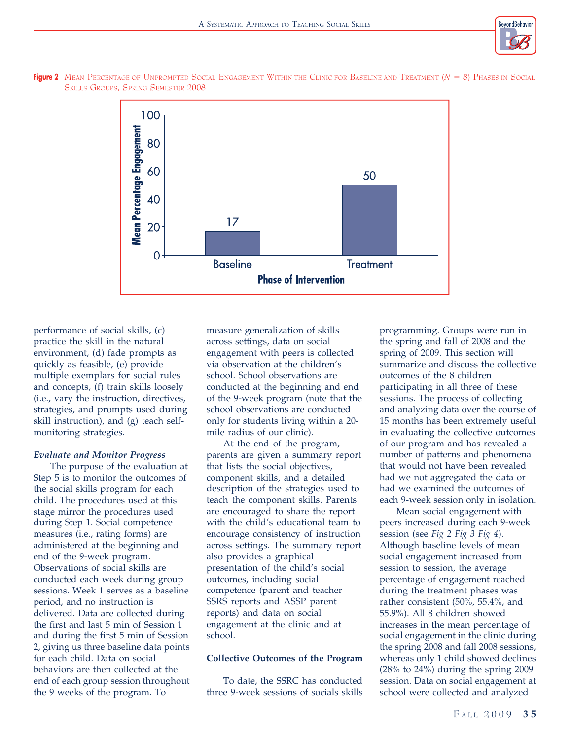





performance of social skills, (c) practice the skill in the natural environment, (d) fade prompts as quickly as feasible, (e) provide multiple exemplars for social rules and concepts, (f) train skills loosely (i.e., vary the instruction, directives, strategies, and prompts used during skill instruction), and (g) teach selfmonitoring strategies.

## Evaluate and Monitor Progress

The purpose of the evaluation at Step 5 is to monitor the outcomes of the social skills program for each child. The procedures used at this stage mirror the procedures used during Step 1. Social competence measures (i.e., rating forms) are administered at the beginning and end of the 9-week program. Observations of social skills are conducted each week during group sessions. Week 1 serves as a baseline period, and no instruction is delivered. Data are collected during the first and last 5 min of Session 1 and during the first 5 min of Session 2, giving us three baseline data points for each child. Data on social behaviors are then collected at the end of each group session throughout the 9 weeks of the program. To

measure generalization of skills across settings, data on social engagement with peers is collected via observation at the children's school. School observations are conducted at the beginning and end of the 9-week program (note that the school observations are conducted only for students living within a 20 mile radius of our clinic).

At the end of the program, parents are given a summary report that lists the social objectives, component skills, and a detailed description of the strategies used to teach the component skills. Parents are encouraged to share the report with the child's educational team to encourage consistency of instruction across settings. The summary report also provides a graphical presentation of the child's social outcomes, including social competence (parent and teacher SSRS reports and ASSP parent reports) and data on social engagement at the clinic and at school.

#### Collective Outcomes of the Program

To date, the SSRC has conducted three 9-week sessions of socials skills

programming. Groups were run in the spring and fall of 2008 and the spring of 2009. This section will summarize and discuss the collective outcomes of the 8 children participating in all three of these sessions. The process of collecting and analyzing data over the course of 15 months has been extremely useful in evaluating the collective outcomes of our program and has revealed a number of patterns and phenomena that would not have been revealed had we not aggregated the data or had we examined the outcomes of each 9-week session only in isolation.

Mean social engagement with peers increased during each 9-week session (see Fig 2 Fig 3 Fig 4). Although baseline levels of mean social engagement increased from session to session, the average percentage of engagement reached during the treatment phases was rather consistent (50%, 55.4%, and 55.9%). All 8 children showed increases in the mean percentage of social engagement in the clinic during the spring 2008 and fall 2008 sessions, whereas only 1 child showed declines (28% to 24%) during the spring 2009 session. Data on social engagement at school were collected and analyzed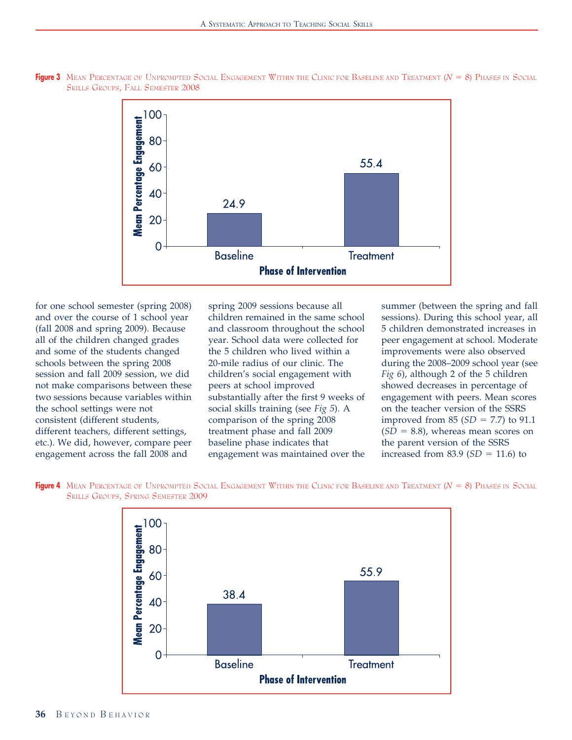

Figure 3 MEAN PERCENTAGE OF UNPROMPTED SOCIAL ENGAGEMENT WITHIN THE CLINIC FOR BASELINE AND TREATMENT  $(N = 8)$  Phases in Social SKILLS GROUPS, FALL SEMESTER 2008

for one school semester (spring 2008) and over the course of 1 school year (fall 2008 and spring 2009). Because all of the children changed grades and some of the students changed schools between the spring 2008 session and fall 2009 session, we did not make comparisons between these two sessions because variables within the school settings were not consistent (different students, different teachers, different settings, etc.). We did, however, compare peer engagement across the fall 2008 and

spring 2009 sessions because all children remained in the same school and classroom throughout the school year. School data were collected for the 5 children who lived within a 20-mile radius of our clinic. The children's social engagement with peers at school improved substantially after the first 9 weeks of social skills training (see Fig 5). A comparison of the spring 2008 treatment phase and fall 2009 baseline phase indicates that engagement was maintained over the summer (between the spring and fall sessions). During this school year, all 5 children demonstrated increases in peer engagement at school. Moderate improvements were also observed during the 2008–2009 school year (see Fig 6), although 2 of the 5 children showed decreases in percentage of engagement with peers. Mean scores on the teacher version of the SSRS improved from 85  $(SD = 7.7)$  to 91.1  $(SD = 8.8)$ , whereas mean scores on the parent version of the SSRS increased from 83.9  $(SD = 11.6)$  to



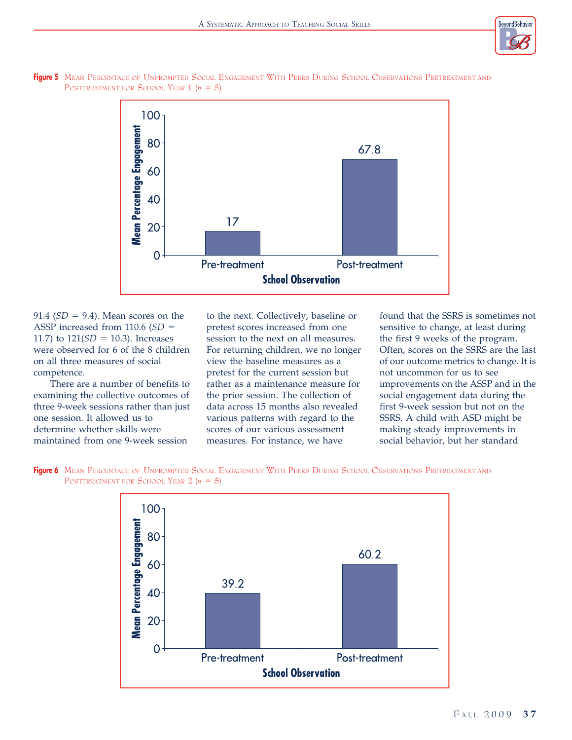





91.4 ( $SD = 9.4$ ). Mean scores on the ASSP increased from 110.6  $(SD =$ 11.7) to  $121(SD = 10.3)$ . Increases were observed for 6 of the 8 children on all three measures of social competence.

There are a number of benefits to examining the collective outcomes of three 9-week sessions rather than just one session. It allowed us to determine whether skills were maintained from one 9-week session

to the next. Collectively, baseline or pretest scores increased from one session to the next on all measures. For returning children, we no longer view the baseline measures as a pretest for the current session but rather as a maintenance measure for the prior session. The collection of data across 15 months also revealed various patterns with regard to the scores of our various assessment measures. For instance, we have

found that the SSRS is sometimes not sensitive to change, at least during the first 9 weeks of the program. Often, scores on the SSRS are the last of our outcome metrics to change. It is not uncommon for us to see improvements on the ASSP and in the social engagement data during the first 9-week session but not on the SSRS. A child with ASD might be making steady improvements in social behavior, but her standard



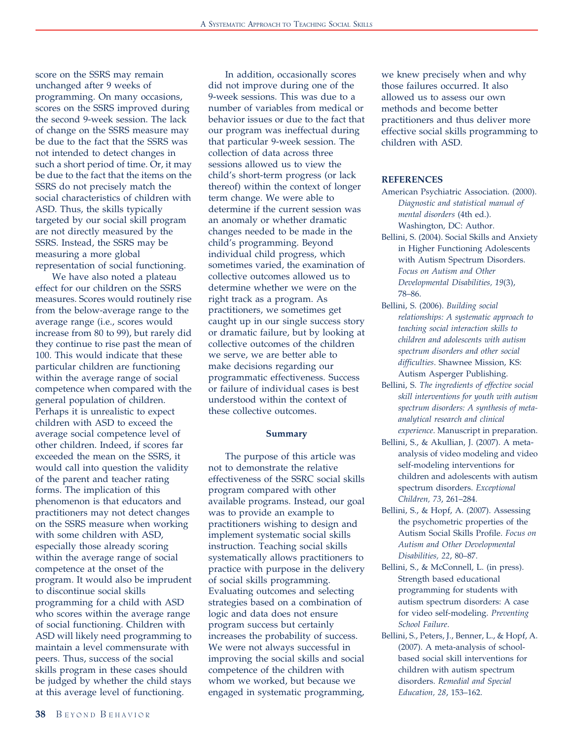score on the SSRS may remain unchanged after 9 weeks of programming. On many occasions, scores on the SSRS improved during the second 9-week session. The lack of change on the SSRS measure may be due to the fact that the SSRS was not intended to detect changes in such a short period of time. Or, it may be due to the fact that the items on the SSRS do not precisely match the social characteristics of children with ASD. Thus, the skills typically targeted by our social skill program are not directly measured by the SSRS. Instead, the SSRS may be measuring a more global representation of social functioning.

We have also noted a plateau effect for our children on the SSRS measures. Scores would routinely rise from the below-average range to the average range (i.e., scores would increase from 80 to 99), but rarely did they continue to rise past the mean of 100. This would indicate that these particular children are functioning within the average range of social competence when compared with the general population of children. Perhaps it is unrealistic to expect children with ASD to exceed the average social competence level of other children. Indeed, if scores far exceeded the mean on the SSRS, it would call into question the validity of the parent and teacher rating forms. The implication of this phenomenon is that educators and practitioners may not detect changes on the SSRS measure when working with some children with ASD, especially those already scoring within the average range of social competence at the onset of the program. It would also be imprudent to discontinue social skills programming for a child with ASD who scores within the average range of social functioning. Children with ASD will likely need programming to maintain a level commensurate with peers. Thus, success of the social skills program in these cases should be judged by whether the child stays at this average level of functioning.

In addition, occasionally scores did not improve during one of the 9-week sessions. This was due to a number of variables from medical or behavior issues or due to the fact that our program was ineffectual during that particular 9-week session. The collection of data across three sessions allowed us to view the child's short-term progress (or lack thereof) within the context of longer term change. We were able to determine if the current session was an anomaly or whether dramatic changes needed to be made in the child's programming. Beyond individual child progress, which sometimes varied, the examination of collective outcomes allowed us to determine whether we were on the right track as a program. As practitioners, we sometimes get caught up in our single success story or dramatic failure, but by looking at collective outcomes of the children we serve, we are better able to make decisions regarding our programmatic effectiveness. Success or failure of individual cases is best understood within the context of these collective outcomes.

#### Summary

The purpose of this article was not to demonstrate the relative effectiveness of the SSRC social skills program compared with other available programs. Instead, our goal was to provide an example to practitioners wishing to design and implement systematic social skills instruction. Teaching social skills systematically allows practitioners to practice with purpose in the delivery of social skills programming. Evaluating outcomes and selecting strategies based on a combination of logic and data does not ensure program success but certainly increases the probability of success. We were not always successful in improving the social skills and social competence of the children with whom we worked, but because we engaged in systematic programming,

we knew precisely when and why those failures occurred. It also allowed us to assess our own methods and become better practitioners and thus deliver more effective social skills programming to children with ASD.

## REFERENCES

- American Psychiatric Association. (2000). Diagnostic and statistical manual of mental disorders (4th ed.). Washington, DC: Author.
- Bellini, S. (2004). Social Skills and Anxiety in Higher Functioning Adolescents with Autism Spectrum Disorders. Focus on Autism and Other Developmental Disabilities, 19(3), 78–86.
- Bellini, S. (2006). Building social relationships: A systematic approach to teaching social interaction skills to children and adolescents with autism spectrum disorders and other social difficulties. Shawnee Mission, KS: Autism Asperger Publishing.
- Bellini, S. The ingredients of effective social skill interventions for youth with autism spectrum disorders: A synthesis of metaanalytical research and clinical experience. Manuscript in preparation.
- Bellini, S., & Akullian, J. (2007). A metaanalysis of video modeling and video self-modeling interventions for children and adolescents with autism spectrum disorders. Exceptional Children, 73, 261–284.
- Bellini, S., & Hopf, A. (2007). Assessing the psychometric properties of the Autism Social Skills Profile. Focus on Autism and Other Developmental Disabilities, 22, 80–87.
- Bellini, S., & McConnell, L. (in press). Strength based educational programming for students with autism spectrum disorders: A case for video self-modeling. Preventing School Failure.
- Bellini, S., Peters, J., Benner, L., & Hopf, A. (2007). A meta-analysis of schoolbased social skill interventions for children with autism spectrum disorders. Remedial and Special Education, 28, 153–162.